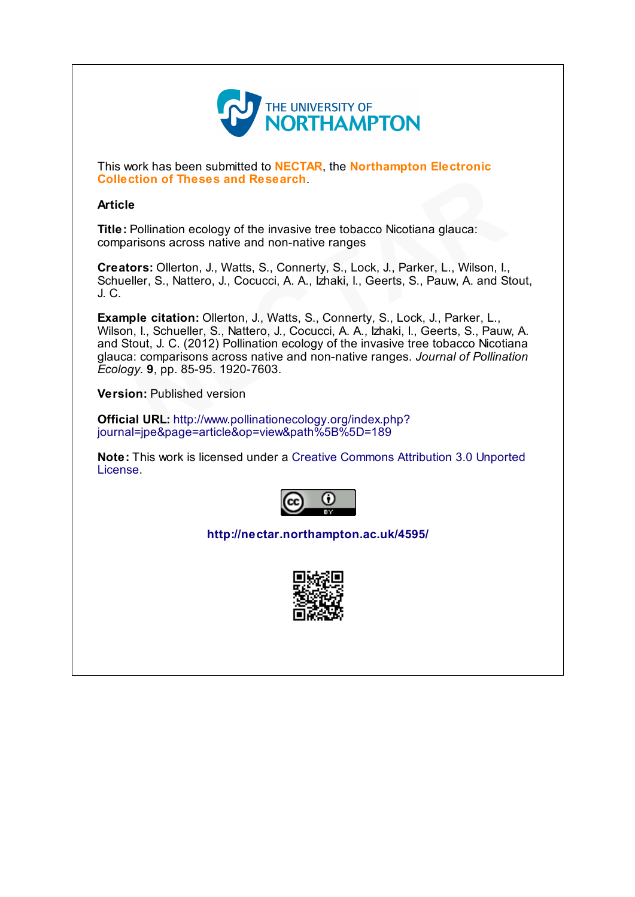

This work has been submitted to **NECTAR**, the **Northampton Electronic** Collection of Theses and Research.

## Article

Title: Pollination ecology of the invasive tree tobacco Nicotiana glauca: comparisons across native and non-native ranges

Creators: Ollerton, J., Watts, S., Connerty, S., Lock, J., Parker, L., Wilson, I., Schueller, S., Nattero, J., Cocucci, A. A., Izhaki, I., Geerts, S., Pauw, A. and Stout, J. C.

Example citation: Ollerton, J., Watts, S., Connerty, S., Lock, J., Parker, L., Wilson, I., Schueller, S., Nattero, J., Cocucci, A. A., Izhaki, I., Geerts, S., Pauw, A. and Stout, J. C. (2012) Pollination ecology of the invasive tree tobacco Nicotiana glauca: comparisons across native and non-native ranges. Journal of Pollination Ecology. 9, pp. 85-95. 1920-7603. **e**<br> **e**<br> **Pollination ecology of the invasive tree tobacco [N](http://www.pollinationecology.org/index.php?journal=jpe&page=article&op=view&path%5B%5D=189)icotiana glauca:**<br> **Pollination ecology of the invasive tree tobacco Nicotiana glauca:**<br> **arisons across native and non-native ranges**<br> **ors:** Ollerton, J., Watt

Version: Published version

Official URL: http://www.pollinationecology.org/index.php? journal=jpe&page=article&op=view&path%5B%5D=189

Note: This work is licensed under a Creative Commons [Attribution](http://creativecommons.org/licenses/by/3.0/) 3.0 Unported License.



<http://nectar.northampton.ac.uk/4595/>

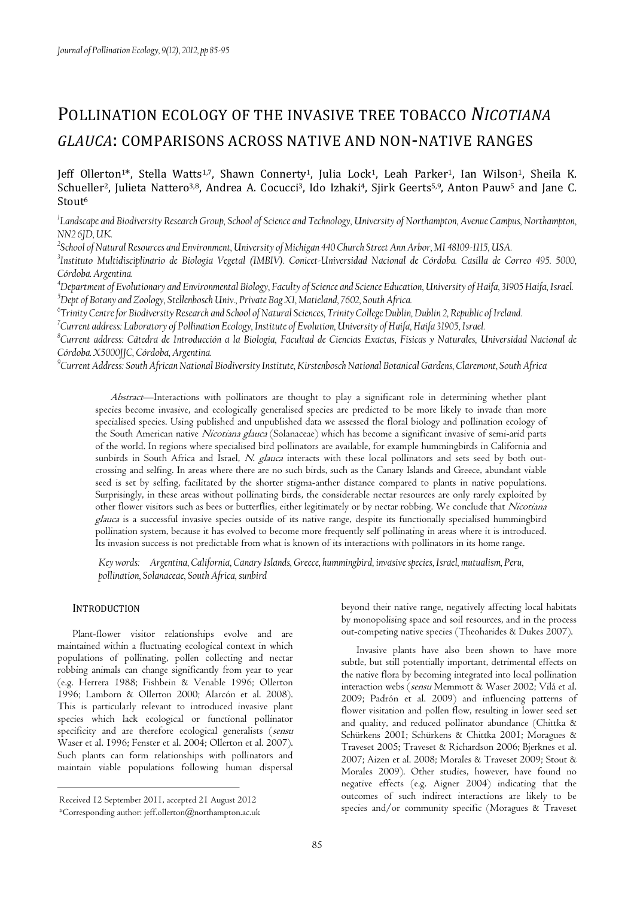# POLLINATION ECOLOGY OF THE INVASIVE TREE TOBACCO *NICOTIANA GLAUCA*: COMPARISONS ACROSS NATIVE AND NON-NATIVE RANGES

Jeff Ollerton<sup>1\*</sup>, Stella Watts<sup>1,7</sup>, Shawn Connerty<sup>1</sup>, Julia Lock<sup>1</sup>, Leah Parker<sup>1</sup>, Ian Wilson<sup>1</sup>, Sheila K. Schueller<sup>2</sup>, Julieta Nattero<sup>3,8</sup>, Andrea A. Cocucci<sup>3</sup>, Ido Izhaki<sup>4</sup>, Sjirk Geerts<sup>5,9</sup>, Anton Pauw<sup>5</sup> and Jane C. Stout<sup>6</sup>

*1 Landscape and Biodiversity Research Group, School of Science and Technology, University of Northampton, Avenue Campus, Northampton, NN2 6JD, UK.* 

*2 School of Natural Resources and Environment, University of Michigan 440 Church Street Ann Arbor, MI 48109-1115, USA.* 

*3 Instituto Multidisciplinario de Biología Vegetal (IMBIV). Conicet-Universidad Nacional de Córdoba. Casilla de Correo 495. 5000, Córdoba. Argentina.* 

*<sup>4</sup>Department of Evolutionary and Environmental Biology, Faculty of Science and Science Education, University of Haifa, 31905 Haifa, Israel. <sup>5</sup>Dept of Botany and Zoology, Stellenbosch Univ., Private Bag X1, Matieland, 7602, South Africa.* 

<sup>6</sup>Trinity Centre for Biodiversity Research and School of Natural Sciences, Trinity College Dublin, Dublin 2, Republic of Ireland.

<sup>7</sup> Current address: Laboratory of Pollination Ecology, Institute of Evolution, University of Haifa, Haifa 31905, Israel.

*8 Current address: Cátedra de Introducción a la Biología, Facultad de Ciencias Exactas, Físicas y Naturales, Universidad Nacional de Córdoba. X5000JJC, Córdoba, Argentina.* 

*9 Current Address: South African National Biodiversity Institute, Kirstenbosch National Botanical Gardens, Claremont, South Africa* 

Abstract—Interactions with pollinators are thought to play a significant role in determining whether plant species become invasive, and ecologically generalised species are predicted to be more likely to invade than more specialised species. Using published and unpublished data we assessed the floral biology and pollination ecology of the South American native Nicotiana glauca (Solanaceae) which has become a significant invasive of semi-arid parts of the world. In regions where specialised bird pollinators are available, for example hummingbirds in California and sunbirds in South Africa and Israel, N. glauca interacts with these local pollinators and sets seed by both outcrossing and selfing. In areas where there are no such birds, such as the Canary Islands and Greece, abundant viable seed is set by selfing, facilitated by the shorter stigma-anther distance compared to plants in native populations. Surprisingly, in these areas without pollinating birds, the considerable nectar resources are only rarely exploited by other flower visitors such as bees or butterflies, either legitimately or by nectar robbing. We conclude that Nicotiana glauca is a successful invasive species outside of its native range, despite its functionally specialised hummingbird pollination system, because it has evolved to become more frequently self pollinating in areas where it is introduced. Its invasion success is not predictable from what is known of its interactions with pollinators in its home range.

*Key words: Argentina, California, Canary Islands, Greece, hummingbird, invasive species, Israel, mutualism, Peru, pollination, Solanaceae, South Africa, sunbird*

#### **INTRODUCTION**

Plant-flower visitor relationships evolve and are maintained within a fluctuating ecological context in which populations of pollinating, pollen collecting and nectar robbing animals can change significantly from year to year (e.g. Herrera 1988; Fishbein & Venable 1996; Ollerton 1996; Lamborn & Ollerton 2000; Alarcón et al. 2008). This is particularly relevant to introduced invasive plant species which lack ecological or functional pollinator specificity and are therefore ecological generalists (sensu Waser et al. 1996; Fenster et al. 2004; Ollerton et al. 2007). Such plants can form relationships with pollinators and maintain viable populations following human dispersal

beyond their native range, negatively affecting local habitats by monopolising space and soil resources, and in the process out-competing native species (Theoharides & Dukes 2007).

Invasive plants have also been shown to have more subtle, but still potentially important, detrimental effects on the native flora by becoming integrated into local pollination interaction webs (sensu Memmott & Waser 2002; Vilá et al. 2009; Padrón et al. 2009) and influencing patterns of flower visitation and pollen flow, resulting in lower seed set and quality, and reduced pollinator abundance (Chittka & Schürkens 2001; Schürkens & Chittka 2001; Moragues & Traveset 2005; Traveset & Richardson 2006; Bjerknes et al. 2007; Aizen et al. 2008; Morales & Traveset 2009; Stout & Morales 2009). Other studies, however, have found no negative effects (e.g. Aigner 2004) indicating that the outcomes of such indirect interactions are likely to be species and/or community specific (Moragues & Traveset

Received 12 September 2011, accepted 21 August 2012

<sup>\*</sup>Corresponding author: jeff.ollerton@northampton.ac.uk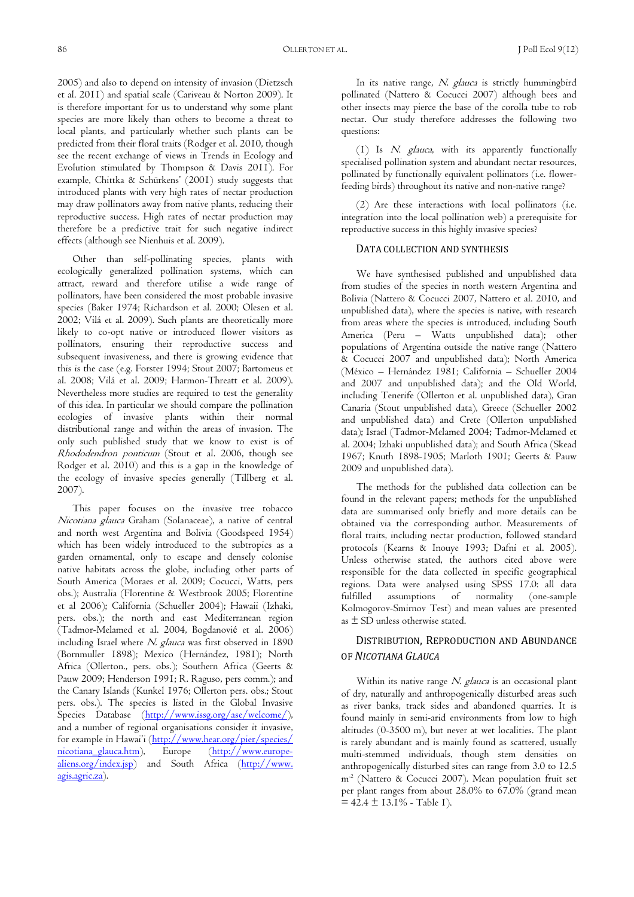86 OLLERTON ET AL. J Poll Ecol 9(12)

2005) and also to depend on intensity of invasion (Dietzsch et al. 2011) and spatial scale (Cariveau & Norton 2009). It is therefore important for us to understand why some plant species are more likely than others to become a threat to local plants, and particularly whether such plants can be predicted from their floral traits (Rodger et al. 2010, though see the recent exchange of views in Trends in Ecology and Evolution stimulated by Thompson & Davis 2011). For example, Chittka & Schürkens' (2001) study suggests that introduced plants with very high rates of nectar production may draw pollinators away from native plants, reducing their reproductive success. High rates of nectar production may therefore be a predictive trait for such negative indirect effects (although see Nienhuis et al. 2009).

Other than self-pollinating species, plants with ecologically generalized pollination systems, which can attract, reward and therefore utilise a wide range of pollinators, have been considered the most probable invasive species (Baker 1974; Richardson et al. 2000; Olesen et al. 2002; Vilá et al. 2009). Such plants are theoretically more likely to co-opt native or introduced flower visitors as pollinators, ensuring their reproductive success and subsequent invasiveness, and there is growing evidence that this is the case (e.g. Forster 1994; Stout 2007; Bartomeus et al. 2008; Vilá et al. 2009; Harmon-Threatt et al. 2009). Nevertheless more studies are required to test the generality of this idea. In particular we should compare the pollination ecologies of invasive plants within their normal distributional range and within the areas of invasion. The only such published study that we know to exist is of Rhododendron ponticum (Stout et al. 2006, though see Rodger et al. 2010) and this is a gap in the knowledge of the ecology of invasive species generally (Tillberg et al. 2007).

This paper focuses on the invasive tree tobacco Nicotiana glauca Graham (Solanaceae), a native of central and north west Argentina and Bolivia (Goodspeed 1954) which has been widely introduced to the subtropics as a garden ornamental, only to escape and densely colonise native habitats across the globe, including other parts of South America (Moraes et al. 2009; Cocucci, Watts, pers obs.); Australia (Florentine & Westbrook 2005; Florentine et al 2006); California (Schueller 2004); Hawaii (Izhaki, pers. obs.); the north and east Mediterranean region (Tadmor-Melamed et al. 2004, Bogdanović et al. 2006) including Israel where N. glauca was first observed in 1890 (Bornmuller 1898); Mexico (Hernández, 1981); North Africa (Ollerton., pers. obs.); Southern Africa (Geerts & Pauw 2009; Henderson 1991; R. Raguso, pers comm.); and the Canary Islands (Kunkel 1976; Ollerton pers. obs.; Stout pers. obs.). The species is listed in the Global Invasive Species Database (http://www.issg.org/ase/welcome/), and a number of regional organisations consider it invasive, for example in Hawai'i (http://www.hear.org/pier/species/ nicotiana glauca.htm), Europe (http://www.europealiens.org/index.jsp) and South Africa (http://www. agis.agric.za).

In its native range, N. glauca is strictly hummingbird pollinated (Nattero & Cocucci 2007) although bees and other insects may pierce the base of the corolla tube to rob nectar. Our study therefore addresses the following two questions:

(1) Is N. glauca, with its apparently functionally specialised pollination system and abundant nectar resources, pollinated by functionally equivalent pollinators (i.e. flowerfeeding birds) throughout its native and non-native range?

(2) Are these interactions with local pollinators (i.e. integration into the local pollination web) a prerequisite for reproductive success in this highly invasive species?

#### DATA COLLECTION AND SYNTHESIS

We have synthesised published and unpublished data from studies of the species in north western Argentina and Bolivia (Nattero & Cocucci 2007, Nattero et al. 2010, and unpublished data), where the species is native, with research from areas where the species is introduced, including South America (Peru – Watts unpublished data); other populations of Argentina outside the native range (Nattero & Cocucci 2007 and unpublished data); North America (México – Hernández 1981; California – Schueller 2004 and 2007 and unpublished data); and the Old World, including Tenerife (Ollerton et al. unpublished data), Gran Canaria (Stout unpublished data), Greece (Schueller 2002 and unpublished data) and Crete (Ollerton unpublished data); Israel (Tadmor-Melamed 2004; Tadmor-Melamed et al. 2004; Izhaki unpublished data); and South Africa (Skead 1967; Knuth 1898-1905; Marloth 1901; Geerts & Pauw 2009 and unpublished data).

The methods for the published data collection can be found in the relevant papers; methods for the unpublished data are summarised only briefly and more details can be obtained via the corresponding author. Measurements of floral traits, including nectar production, followed standard protocols (Kearns & Inouye 1993; Dafni et al. 2005). Unless otherwise stated, the authors cited above were responsible for the data collected in specific geographical regions. Data were analysed using SPSS 17.0: all data fulfilled assumptions of normality (one-sample Kolmogorov-Smirnov Test) and mean values are presented as  $\pm$  SD unless otherwise stated.

## DISTRIBUTION, REPRODUCTION AND ABUNDANCE OF *NICOTIANA GLAUCA*

Within its native range N. glauca is an occasional plant of dry, naturally and anthropogenically disturbed areas such as river banks, track sides and abandoned quarries. It is found mainly in semi-arid environments from low to high altitudes (0-3500 m), but never at wet localities. The plant is rarely abundant and is mainly found as scattered, usually multi-stemmed individuals, though stem densities on anthropogenically disturbed sites can range from 3.0 to 12.5 m-2 (Nattero & Cocucci 2007). Mean population fruit set per plant ranges from about 28.0% to 67.0% (grand mean  $= 42.4 \pm 13.1\%$  - Table 1).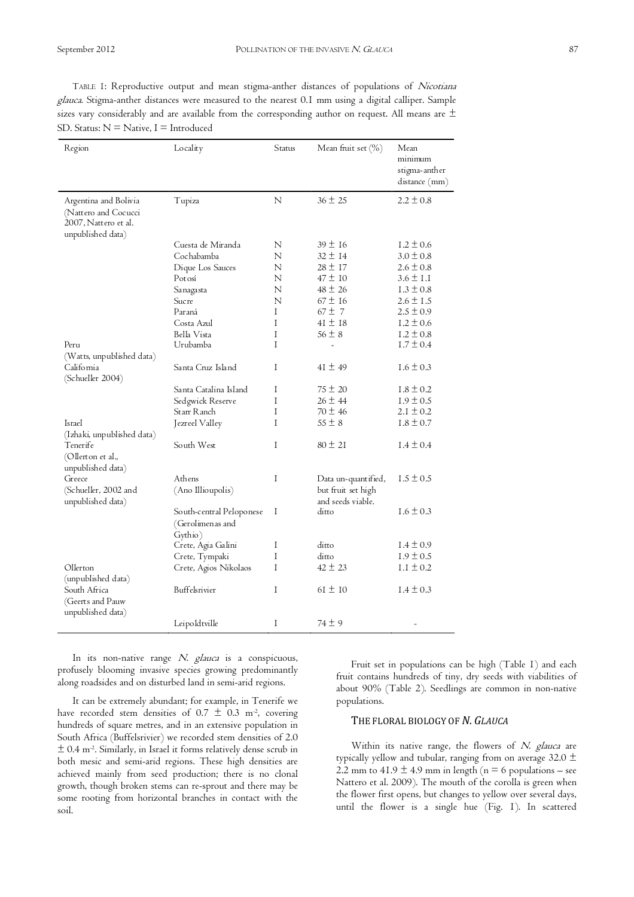TABLE 1: Reproductive output and mean stigma-anther distances of populations of Nicotiana glauca. Stigma-anther distances were measured to the nearest 0.1 mm using a digital calliper. Sample sizes vary considerably and are available from the corresponding author on request. All means are  $\pm$ SD. Status:  $N =$  Native, I = Introduced

| Region                                                                                     | Locality                                                | Status | Mean fruit set (%)                      | Mean<br>minimum<br>stigma-anther<br>distance (mm) |
|--------------------------------------------------------------------------------------------|---------------------------------------------------------|--------|-----------------------------------------|---------------------------------------------------|
| Argentina and Bolivia<br>(Nattero and Cocucci<br>2007, Nattero et al.<br>unpublished data) | Tupiza                                                  | N      | $36 \pm 25$                             | $2.2 \pm 0.8$                                     |
|                                                                                            | Cuesta de Miranda                                       | N      | $39 \pm 16$                             | $1.2 \pm 0.6$                                     |
|                                                                                            | Cochabamba                                              | N      | $32 \pm 14$                             | $3.0 \pm 0.8$                                     |
|                                                                                            | Dique Los Sauces                                        | N      | $28 \pm 17$                             | $2.6 \pm 0.8$                                     |
|                                                                                            | Potosí                                                  | N      | $47 \pm 10$                             | $3.6 \pm 1.1$                                     |
|                                                                                            | Sa naga sta                                             | N      | $48 \pm 26$                             | $1.3 \pm 0.8$                                     |
|                                                                                            | Sucre                                                   | N      | $67 \pm 16$                             | $2.6 \pm 1.5$                                     |
|                                                                                            | Paraná                                                  | I      | $67 \pm 7$                              | $2.5 \pm 0.9$                                     |
|                                                                                            | Costa Azul                                              | I      | $41 \pm 18$                             | $1.2 \pm 0.6$                                     |
|                                                                                            | Bella Vista                                             | I      | $56 \pm 8$                              | $1.2 \pm 0.8$                                     |
| Peru                                                                                       | Urubamba                                                | T      |                                         | $1.7 \pm 0.4$                                     |
| (Watts, unpublished data)                                                                  |                                                         |        |                                         |                                                   |
| California<br>(Schueller 2004)                                                             | Santa Cruz Island                                       | I      | $41 \pm 49$                             | $1.6 \pm 0.3$                                     |
|                                                                                            | Santa Catalina Island                                   | Ι      | $75 \pm 20$                             | $1.8 \pm 0.2$                                     |
|                                                                                            | Sedgwick Reserve                                        | I      | $26 \pm 44$                             | $1.9 \pm 0.5$                                     |
|                                                                                            | Starr Ranch                                             | I      | $70 \pm 46$                             | $2.1 \pm 0.2$                                     |
| Israel                                                                                     | Jezreel Valley                                          | T      | $55 \pm 8$                              | $1.8 \pm 0.7$                                     |
| (Izhaki, unpublished data)                                                                 |                                                         |        |                                         |                                                   |
| Tenerife<br>(Ollerton et al.,<br>unpublished data)                                         | South West                                              | Ι      | $80 \pm 21$                             | $1.4 \pm 0.4$                                     |
| Greece                                                                                     | Athens                                                  | Ι      | Data un-quantified,                     | $1.5 \pm 0.5$                                     |
| (Schueller, 2002 and<br>unpublished data)                                                  | (Ano Illioupolis)                                       |        | but fruit set high<br>and seeds viable. |                                                   |
|                                                                                            | South-central Peloponese<br>(Gerolimenas and<br>Gythio) | Ι      | ditto                                   | $1.6 \pm 0.3$                                     |
|                                                                                            | Crete, Agia Galini                                      | Ι      | ditto                                   | $1.4 \pm 0.9$                                     |
|                                                                                            | Crete, Tympaki                                          | I      | ditto                                   | $1.9 \pm 0.5$                                     |
| Ollerton<br>(unpublished data)                                                             | Crete, Agios Nikolaos                                   | I      | $42 \pm 23$                             | $1.1 \pm 0.2$                                     |
| South Africa<br>(Geerts and Pauw                                                           | Buffelsrivier                                           | I      | $61 \pm 10$                             | $1.4 \pm 0.3$                                     |
| unpublished data)                                                                          | Leipoldtville                                           | I      | $74 \pm 9$                              |                                                   |

In its non-native range N. glauca is a conspicuous, profusely blooming invasive species growing predominantly along roadsides and on disturbed land in semi-arid regions.

It can be extremely abundant; for example, in Tenerife we have recorded stem densities of 0.7  $\pm$  0.3 m<sup>-2</sup>, covering hundreds of square metres, and in an extensive population in South Africa (Buffelsrivier) we recorded stem densities of 2.0  $\pm$  0.4 m<sup>-2</sup>. Similarly, in Israel it forms relatively dense scrub in both mesic and semi-arid regions. These high densities are achieved mainly from seed production; there is no clonal growth, though broken stems can re-sprout and there may be some rooting from horizontal branches in contact with the soil.

Fruit set in populations can be high (Table 1) and each fruit contains hundreds of tiny, dry seeds with viabilities of about 90% (Table 2). Seedlings are common in non-native populations.

### THE FLORAL BIOLOGY OF *N. GLAUCA*

Within its native range, the flowers of N. glauca are typically yellow and tubular, ranging from on average 32.0  $\pm$ 2.2 mm to 41.9  $\pm$  4.9 mm in length (n = 6 populations – see Nattero et al. 2009). The mouth of the corolla is green when the flower first opens, but changes to yellow over several days, until the flower is a single hue (Fig. 1). In scattered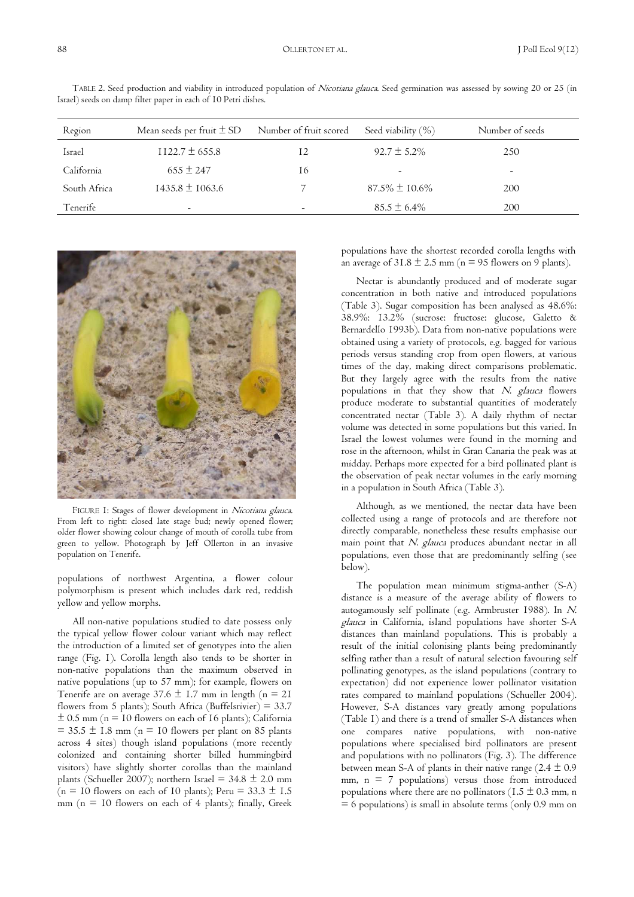| Region       | Mean seeds per fruit $\pm$ SD | Number of fruit scored | Seed viability $(\% )$ | Number of seeds |  |
|--------------|-------------------------------|------------------------|------------------------|-----------------|--|
| Israel       | $1122.7 \pm 655.8$            |                        | $92.7 \pm 5.2\%$       | 250             |  |
| California   | $655 \pm 247$                 | 16                     |                        | -               |  |
| South Africa | $1435.8 \pm 1063.6$           |                        | $87.5\% \pm 10.6\%$    | 200             |  |
| Tenerife     | $\overline{\phantom{0}}$      |                        | $85.5 \pm 6.4\%$       | 200             |  |

TABLE 2. Seed production and viability in introduced population of Nicotiana glauca. Seed germination was assessed by sowing 20 or 25 (in Israel) seeds on damp filter paper in each of 10 Petri dishes.



FIGURE 1: Stages of flower development in Nicotiana glauca. From left to right: closed late stage bud; newly opened flower; older flower showing colour change of mouth of corolla tube from green to yellow. Photograph by Jeff Ollerton in an invasive population on Tenerife.

populations of northwest Argentina, a flower colour polymorphism is present which includes dark red, reddish yellow and yellow morphs.

All non-native populations studied to date possess only the typical yellow flower colour variant which may reflect the introduction of a limited set of genotypes into the alien range (Fig. 1). Corolla length also tends to be shorter in non-native populations than the maximum observed in native populations (up to 57 mm); for example, flowers on Tenerife are on average  $37.6 \pm 1.7$  mm in length (n = 21 flowers from 5 plants); South Africa (Buffelsrivier) =  $33.7$  $\pm$  0.5 mm (n = 10 flowers on each of 16 plants); California  $= 35.5 \pm 1.8$  mm (n = 10 flowers per plant on 85 plants across 4 sites) though island populations (more recently colonized and containing shorter billed hummingbird visitors) have slightly shorter corollas than the mainland plants (Schueller 2007); northern Israel =  $34.8 \pm 2.0$  mm (n = 10 flowers on each of 10 plants); Peru =  $33.3 \pm 1.5$ mm ( $n = 10$  flowers on each of 4 plants); finally, Greek populations have the shortest recorded corolla lengths with an average of  $31.8 \pm 2.5$  mm (n = 95 flowers on 9 plants).

Nectar is abundantly produced and of moderate sugar concentration in both native and introduced populations (Table 3). Sugar composition has been analysed as 48.6%: 38.9%: 13.2% (sucrose: fructose: glucose, Galetto & Bernardello 1993b). Data from non-native populations were obtained using a variety of protocols, e.g. bagged for various periods versus standing crop from open flowers, at various times of the day, making direct comparisons problematic. But they largely agree with the results from the native populations in that they show that N. glauca flowers produce moderate to substantial quantities of moderately concentrated nectar (Table 3). A daily rhythm of nectar volume was detected in some populations but this varied. In Israel the lowest volumes were found in the morning and rose in the afternoon, whilst in Gran Canaria the peak was at midday. Perhaps more expected for a bird pollinated plant is the observation of peak nectar volumes in the early morning in a population in South Africa (Table 3).

Although, as we mentioned, the nectar data have been collected using a range of protocols and are therefore not directly comparable, nonetheless these results emphasise our main point that N. glauca produces abundant nectar in all populations, even those that are predominantly selfing (see below).

The population mean minimum stigma-anther (S-A) distance is a measure of the average ability of flowers to autogamously self pollinate (e.g. Armbruster 1988). In N. glauca in California, island populations have shorter S-A distances than mainland populations. This is probably a result of the initial colonising plants being predominantly selfing rather than a result of natural selection favouring self pollinating genotypes, as the island populations (contrary to expectation) did not experience lower pollinator visitation rates compared to mainland populations (Schueller 2004). However, S-A distances vary greatly among populations (Table 1) and there is a trend of smaller S-A distances when one compares native populations, with non-native populations where specialised bird pollinators are present and populations with no pollinators (Fig. 3). The difference between mean S-A of plants in their native range  $(2.4 \pm 0.9)$ mm,  $n = 7$  populations) versus those from introduced populations where there are no pollinators ( $1.5 \pm 0.3$  mm, n  $= 6$  populations) is small in absolute terms (only 0.9 mm on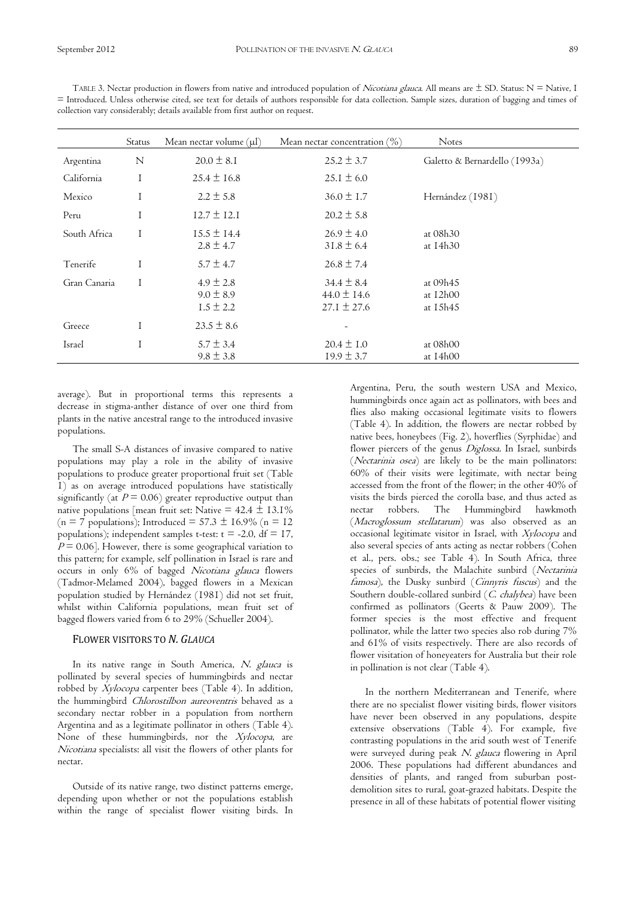|              | Status | Mean nectar volume $(\mu l)$                    | Mean nectar concentration $(\%)$                     | <b>Notes</b>                     |
|--------------|--------|-------------------------------------------------|------------------------------------------------------|----------------------------------|
| Argentina    | N      | $20.0 \pm 8.1$                                  | $25.2 \pm 3.7$                                       | Galetto & Bernardello (1993a)    |
| California   |        | $25.4 \pm 16.8$                                 | $25.1 \pm 6.0$                                       |                                  |
| Mexico       |        | $2.2 \pm 5.8$                                   | $36.0 \pm 1.7$                                       | Hernández (1981)                 |
| Peru         |        | $12.7 \pm 12.1$                                 | $20.2 \pm 5.8$                                       |                                  |
| South Africa |        | $15.5 \pm 14.4$<br>$2.8 \pm 4.7$                | $26.9 \pm 4.0$<br>$31.8 \pm 6.4$                     | at 08h30<br>at 14h30             |
| Tenerife     |        | $5.7 \pm 4.7$                                   | $26.8 \pm 7.4$                                       |                                  |
| Gran Canaria |        | $4.9 \pm 2.8$<br>$9.0 \pm 8.9$<br>$1.5 \pm 2.2$ | $34.4 \pm 8.4$<br>$44.0 \pm 14.6$<br>$27.1 \pm 27.6$ | at 09h45<br>at 12h00<br>at 15h45 |
| Greece       |        | $23.5 \pm 8.6$                                  |                                                      |                                  |
| Israel       |        | $5.7 \pm 3.4$<br>$9.8 \pm 3.8$                  | $20.4 \pm 1.0$<br>$19.9 \pm 3.7$                     | at 08h00<br>at 14h00             |

TABLE 3. Nectar production in flowers from native and introduced population of *Nicotiana glauca*. All means are  $\pm$  SD. Status: N = Native, I = Introduced. Unless otherwise cited, see text for details of authors responsible for data collection. Sample sizes, duration of bagging and times of collection vary considerably; details available from first author on request.

average). But in proportional terms this represents a decrease in stigma-anther distance of over one third from plants in the native ancestral range to the introduced invasive populations.

The small S-A distances of invasive compared to native populations may play a role in the ability of invasive populations to produce greater proportional fruit set (Table 1) as on average introduced populations have statistically significantly (at  $P = 0.06$ ) greater reproductive output than native populations [mean fruit set: Native =  $42.4 \pm 13.1\%$ (n = 7 populations); Introduced =  $57.3 \pm 16.9\%$  (n = 12 populations); independent samples t-test:  $t = -2.0$ ,  $df = 17$ ,  $P = 0.06$ . However, there is some geographical variation to this pattern; for example, self pollination in Israel is rare and occurs in only 6% of bagged Nicotiana glauca flowers (Tadmor-Melamed 2004), bagged flowers in a Mexican population studied by Hernández (1981) did not set fruit, whilst within California populations, mean fruit set of bagged flowers varied from 6 to 29% (Schueller 2004).

### FLOWER VISITORS TO *N. GLAUCA*

In its native range in South America, N. glauca is pollinated by several species of hummingbirds and nectar robbed by Xylocopa carpenter bees (Table 4). In addition, the hummingbird Chlorostilbon aureoventris behaved as a secondary nectar robber in a population from northern Argentina and as a legitimate pollinator in others (Table 4). None of these hummingbirds, nor the Xylocopa, are Nicotiana specialists: all visit the flowers of other plants for nectar.

Outside of its native range, two distinct patterns emerge, depending upon whether or not the populations establish within the range of specialist flower visiting birds. In

Argentina, Peru, the south western USA and Mexico, hummingbirds once again act as pollinators, with bees and flies also making occasional legitimate visits to flowers (Table 4). In addition, the flowers are nectar robbed by native bees, honeybees (Fig. 2), hoverflies (Syrphidae) and flower piercers of the genus Diglossa. In Israel, sunbirds (Nectarinia osea) are likely to be the main pollinators: 60% of their visits were legitimate, with nectar being accessed from the front of the flower; in the other 40% of visits the birds pierced the corolla base, and thus acted as nectar robbers. The Hummingbird hawkmoth nectar robbers. The Hummingbird hawkmoth (Macroglossum stellatarum) was also observed as an occasional legitimate visitor in Israel, with Xylocopa and also several species of ants acting as nectar robbers (Cohen et al., pers. obs.; see Table 4). In South Africa, three species of sunbirds, the Malachite sunbird (Nectarinia famosa), the Dusky sunbird (Cinnyris fuscus) and the Southern double-collared sunbird (C. chalybea) have been confirmed as pollinators (Geerts & Pauw 2009). The former species is the most effective and frequent pollinator, while the latter two species also rob during 7% and 61% of visits respectively. There are also records of flower visitation of honeyeaters for Australia but their role in pollination is not clear (Table 4).

In the northern Mediterranean and Tenerife, where there are no specialist flower visiting birds, flower visitors have never been observed in any populations, despite extensive observations (Table 4). For example, five contrasting populations in the arid south west of Tenerife were surveyed during peak N. glauca flowering in April 2006. These populations had different abundances and densities of plants, and ranged from suburban postdemolition sites to rural, goat-grazed habitats. Despite the presence in all of these habitats of potential flower visiting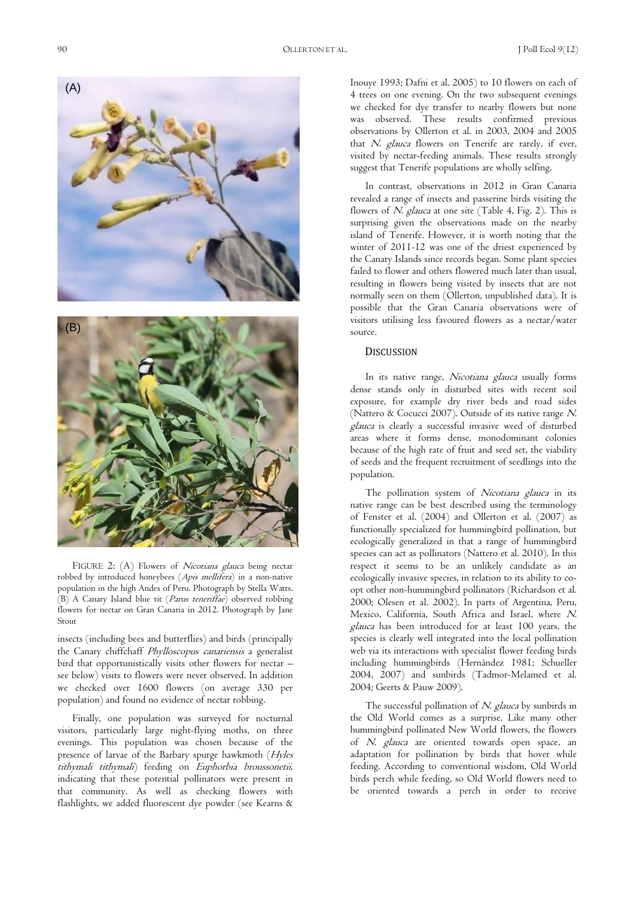Inouye 1993; Dafni et al. 2005) to 10 flowers on each of 4 trees on one evening. On the two subsequent evenings we checked for dye transfer to nearby flowers but none was observed. These results confirmed previous observations by Ollerton et al. in 2003, 2004 and 2005 that N. glauca flowers on Tenerife are rarely, if ever, visited by nectar-feeding animals. These results strongly suggest that Tenerife populations are wholly selfing. In contrast, observations in 2012 in Gran Canaria

revealed a range of insects and passerine birds visiting the flowers of N. glauca at one site (Table 4, Fig. 2). This is surprising given the observations made on the nearby island of Tenerife. However, it is worth noting that the winter of 2011-12 was one of the driest experienced by the Canary Islands since records began. Some plant species failed to flower and others flowered much later than usual, resulting in flowers being visited by insects that are not normally seen on them (Ollerton, unpublished data). It is possible that the Gran Canaria observations were of visitors utilising less favoured flowers as a nectar/water source.

### **DISCUSSION**

In its native range, Nicotiana glauca usually forms dense stands only in disturbed sites with recent soil exposure, for example dry river beds and road sides (Nattero & Cocucci 2007). Outside of its native range N. glauca is clearly a successful invasive weed of disturbed areas where it forms dense, monodominant colonies because of the high rate of fruit and seed set, the viability of seeds and the frequent recruitment of seedlings into the population.

The pollination system of Nicotiana glauca in its native range can be best described using the terminology of Fenster et al. (2004) and Ollerton et al. (2007) as functionally specialized for hummingbird pollination, but ecologically generalized in that a range of hummingbird species can act as pollinators (Nattero et al. 2010). In this respect it seems to be an unlikely candidate as an ecologically invasive species, in relation to its ability to coopt other non-hummingbird pollinators (Richardson et al. 2000; Olesen et al. 2002). In parts of Argentina, Peru, Mexico, California, South Africa and Israel, where N. glauca has been introduced for at least 100 years, the species is clearly well integrated into the local pollination web via its interactions with specialist flower feeding birds including hummingbirds (Hernández 1981; Schueller 2004, 2007) and sunbirds (Tadmor-Melamed et al. 2004; Geerts & Pauw 2009).

The successful pollination of N. glauca by sunbirds in the Old World comes as a surprise. Like many other hummingbird pollinated New World flowers, the flowers of N. glauca are oriented towards open space, an adaptation for pollination by birds that hover while feeding. According to conventional wisdom, Old World birds perch while feeding, so Old World flowers need to be oriented towards a perch in order to receive

robbed by introduced honeybees (Apis mellifera) in a non-native population in the high Andes of Peru. Photograph by Stella Watts. (B) A Canary Island blue tit (Parus teneriffae) observed robbing flowers for nectar on Gran Canaria in 2012. Photograph by Jane Stout

insects (including bees and butterflies) and birds (principally the Canary chiffchaff Phylloscopus canariensis a generalist bird that opportunistically visits other flowers for nectar – see below) visits to flowers were never observed. In addition we checked over 1600 flowers (on average 330 per population) and found no evidence of nectar robbing.

Finally, one population was surveyed for nocturnal visitors, particularly large night-flying moths, on three evenings. This population was chosen because of the presence of larvae of the Barbary spurge hawkmoth (Hyles tithymali tithymali) feeding on Euphorbia broussonetii, indicating that these potential pollinators were present in that community. As well as checking flowers with flashlights, we added fluorescent dye powder (see Kearns &

FIGURE 2: (A) Flowers of Nicotiana glauca being nectar



(A)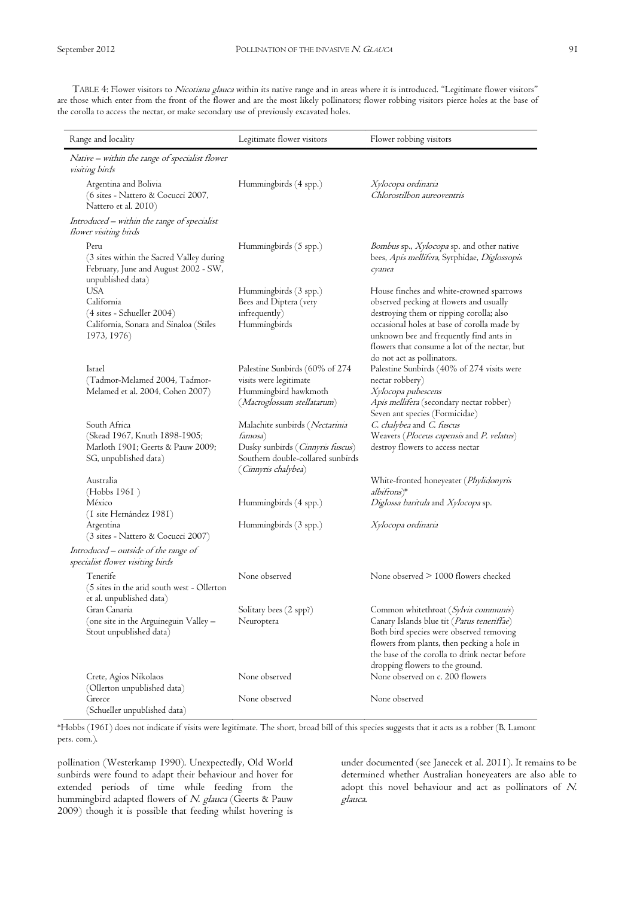TABLE 4: Flower visitors to Nicotiana glauca within its native range and in areas where it is introduced. "Legitimate flower visitors" are those which enter from the front of the flower and are the most likely pollinators; flower robbing visitors pierce holes at the base of the corolla to access the nectar, or make secondary use of previously excavated holes.

| Range and locality                                                                                            | Legitimate flower visitors                                                                   | Flower robbing visitors                                                                                                                                                                                                    |
|---------------------------------------------------------------------------------------------------------------|----------------------------------------------------------------------------------------------|----------------------------------------------------------------------------------------------------------------------------------------------------------------------------------------------------------------------------|
| Native - within the range of specialist flower<br><i>visiting birds</i>                                       |                                                                                              |                                                                                                                                                                                                                            |
| Argentina and Bolivia<br>(6 sites - Nattero & Cocucci 2007,<br>Nattero et al. 2010)                           | Hummingbirds (4 spp.)                                                                        | Xylocopa ordinaria<br>Chlorostilbon aureoventris                                                                                                                                                                           |
| Introduced – within the range of specialist<br><i>flower visiting birds</i>                                   |                                                                                              |                                                                                                                                                                                                                            |
| Peru<br>(3 sites within the Sacred Valley during<br>February, June and August 2002 - SW,<br>unpublished data) | Hummingbirds (5 spp.)                                                                        | <i>Bombus</i> sp., <i>Xylocopa</i> sp. and other native<br>bees, Apis mellifera, Syrphidae, Diglossopis<br>cyanea                                                                                                          |
| <b>USA</b>                                                                                                    | Hummingbirds (3 spp.)                                                                        | House finches and white-crowned sparrows                                                                                                                                                                                   |
| California                                                                                                    | Bees and Diptera (very                                                                       | observed pecking at flowers and usually                                                                                                                                                                                    |
| $(4 \text{ sites} - \text{Schueller } 2004)$<br>California, Sonara and Sinaloa (Stiles<br>1973, 1976)         | infrequently)<br>Hummingbirds                                                                | destroying them or ripping corolla; also<br>occasional holes at base of corolla made by<br>unknown bee and frequently find ants in<br>flowers that consume a lot of the nectar, but<br>do not act as pollinators.          |
| Israel                                                                                                        | Palestine Sunbirds (60% of 274                                                               | Palestine Sunbirds (40% of 274 visits were                                                                                                                                                                                 |
| (Tadmor-Melamed 2004, Tadmor-                                                                                 | visits were legitimate                                                                       | nectar robbery)                                                                                                                                                                                                            |
| Melamed et al. 2004, Cohen 2007)                                                                              | Hummingbird hawkmoth<br>(Macroglossum stellatarum)                                           | Xylocopa pubescens<br><i>Apis mellifera</i> (secondary nectar robber)<br>Seven ant species (Formicidae)                                                                                                                    |
| South Africa                                                                                                  | Malachite sunbirds (Nectarinia                                                               | C. chalybea and C. fuscus                                                                                                                                                                                                  |
| (Skead 1967, Knuth 1898-1905;                                                                                 | famosa)                                                                                      | Weavers (Ploceus capensis and P. velatus)                                                                                                                                                                                  |
| Marloth 1901; Geerts & Pauw 2009;<br>SG, unpublished data)                                                    | Dusky sunbirds (Cinnyris fuscus)<br>Southern double-collared sunbirds<br>(Cinnyris chalybea) | destroy flowers to access nectar                                                                                                                                                                                           |
| Australia<br>(Hobbs 1961)                                                                                     |                                                                                              | White-fronted honeyeater (Phylidonyris<br>albifrons)*                                                                                                                                                                      |
| México<br>(I site Hernández 1981)                                                                             | Hummingbirds (4 spp.)                                                                        | Diglossa baritula and Xylocopa sp.                                                                                                                                                                                         |
| Argentina<br>(3 sites - Nattero & Cocucci 2007)                                                               | Hummingbirds (3 spp.)                                                                        | Xylocopa ordinaria                                                                                                                                                                                                         |
| Introduced - outside of the range of<br>specialist flower visiting birds                                      |                                                                                              |                                                                                                                                                                                                                            |
| Tenerife<br>(5 sites in the arid south west - Ollerton<br>et al. unpublished data)                            | None observed                                                                                | None observed > 1000 flowers checked                                                                                                                                                                                       |
| Gran Canaria                                                                                                  | Solitary bees (2 spp?)                                                                       | Common whitethroat (Sylvia communis)                                                                                                                                                                                       |
| (one site in the Arguineguin Valley –<br>Stout unpublished data)                                              | Neuroptera                                                                                   | Canary Islands blue tit (Parus teneriffae)<br>Both bird species were observed removing<br>flowers from plants, then pecking a hole in<br>the base of the corolla to drink nectar before<br>dropping flowers to the ground. |
| Crete, Agios Nikolaos<br>(Ollerton unpublished data)                                                          | None observed                                                                                | None observed on c. 200 flowers                                                                                                                                                                                            |
| Greece<br>(Schueller unpublished data)                                                                        | None observed                                                                                | None observed                                                                                                                                                                                                              |

\*Hobbs (1961) does not indicate if visits were legitimate. The short, broad bill of this species suggests that it acts as a robber (B. Lamont pers. com.).

pollination (Westerkamp 1990). Unexpectedly, Old World sunbirds were found to adapt their behaviour and hover for extended periods of time while feeding from the hummingbird adapted flowers of N. glauca (Geerts & Pauw 2009) though it is possible that feeding whilst hovering is

under documented (see Janecek et al. 2011). It remains to be determined whether Australian honeyeaters are also able to adopt this novel behaviour and act as pollinators of N. glauca.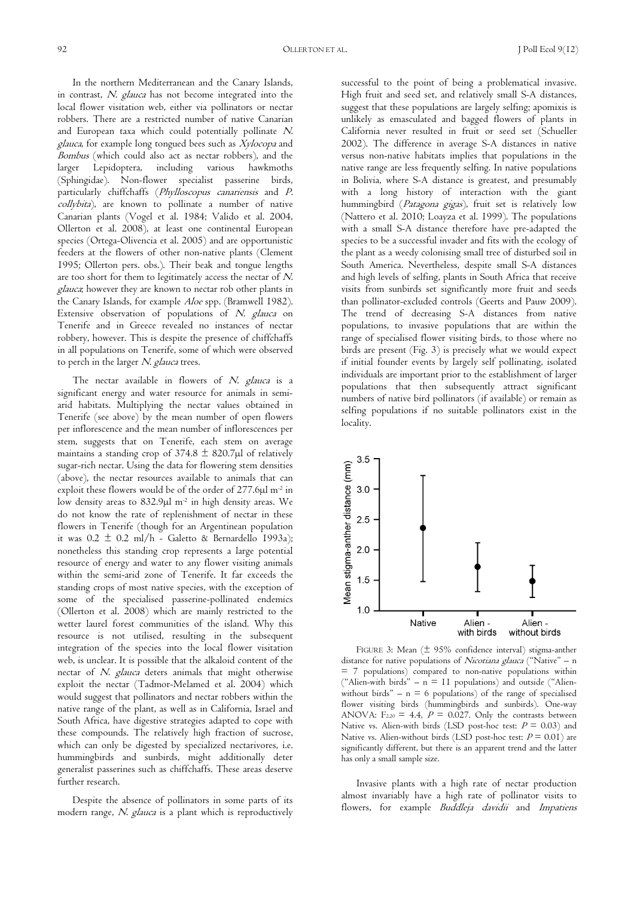In the northern Mediterranean and the Canary Islands, in contrast, N. glauca has not become integrated into the local flower visitation web, either via pollinators or nectar robbers. There are a restricted number of native Canarian and European taxa which could potentially pollinate N. glauca, for example long tongued bees such as Xylocopa and Bombus (which could also act as nectar robbers), and the larger Lepidoptera, including various hawkmoths (Sphingidae). Non-flower specialist passerine birds, particularly chiffchaffs (Phylloscopus canariensis and P. collybita), are known to pollinate a number of native Canarian plants (Vogel et al. 1984; Valido et al. 2004, Ollerton et al. 2008), at least one continental European species (Ortega-Olivencia et al. 2005) and are opportunistic feeders at the flowers of other non-native plants (Clement 1995; Ollerton pers. obs.). Their beak and tongue lengths are too short for them to legitimately access the nectar of N. glauca; however they are known to nectar rob other plants in the Canary Islands, for example Aloe spp. (Bramwell 1982). Extensive observation of populations of N. glauca on Tenerife and in Greece revealed no instances of nectar robbery, however. This is despite the presence of chiffchaffs in all populations on Tenerife, some of which were observed to perch in the larger N. glauca trees.

The nectar available in flowers of N. glauca is a significant energy and water resource for animals in semiarid habitats. Multiplying the nectar values obtained in Tenerife (see above) by the mean number of open flowers per inflorescence and the mean number of inflorescences per stem, suggests that on Tenerife, each stem on average maintains a standing crop of  $374.8 \pm 820.7 \mu$ l of relatively sugar-rich nectar. Using the data for flowering stem densities (above), the nectar resources available to animals that can exploit these flowers would be of the order of 277.6µl m-2 in low density areas to 832.9µl m-2 in high density areas. We do not know the rate of replenishment of nectar in these flowers in Tenerife (though for an Argentinean population it was  $0.2 \pm 0.2$  ml/h - Galetto & Bernardello 1993a); nonetheless this standing crop represents a large potential resource of energy and water to any flower visiting animals within the semi-arid zone of Tenerife. It far exceeds the standing crops of most native species, with the exception of some of the specialised passerine-pollinated endemics (Ollerton et al. 2008) which are mainly restricted to the wetter laurel forest communities of the island. Why this resource is not utilised, resulting in the subsequent integration of the species into the local flower visitation web, is unclear. It is possible that the alkaloid content of the nectar of N. glauca deters animals that might otherwise exploit the nectar (Tadmor-Melamed et al. 2004) which would suggest that pollinators and nectar robbers within the native range of the plant, as well as in California, Israel and South Africa, have digestive strategies adapted to cope with these compounds. The relatively high fraction of sucrose, which can only be digested by specialized nectarivores, i.e. hummingbirds and sunbirds, might additionally deter generalist passerines such as chiffchaffs. These areas deserve further research.

Despite the absence of pollinators in some parts of its modern range, N. glauca is a plant which is reproductively

successful to the point of being a problematical invasive. High fruit and seed set, and relatively small S-A distances, suggest that these populations are largely selfing; apomixis is unlikely as emasculated and bagged flowers of plants in California never resulted in fruit or seed set (Schueller 2002). The difference in average S-A distances in native versus non-native habitats implies that populations in the native range are less frequently selfing. In native populations in Bolivia, where S-A distance is greatest, and presumably with a long history of interaction with the giant hummingbird (Patagona gigas), fruit set is relatively low (Nattero et al. 2010; Loayza et al. 1999). The populations with a small S-A distance therefore have pre-adapted the species to be a successful invader and fits with the ecology of the plant as a weedy colonising small tree of disturbed soil in South America. Nevertheless, despite small S-A distances and high levels of selfing, plants in South Africa that receive visits from sunbirds set significantly more fruit and seeds than pollinator-excluded controls (Geerts and Pauw 2009). The trend of decreasing S-A distances from native populations, to invasive populations that are within the range of specialised flower visiting birds, to those where no birds are present (Fig. 3) is precisely what we would expect if initial founder events by largely self pollinating, isolated individuals are important prior to the establishment of larger populations that then subsequently attract significant numbers of native bird pollinators (if available) or remain as selfing populations if no suitable pollinators exist in the locality.



FIGURE 3: Mean (± 95% confidence interval) stigma-anther distance for native populations of Nicotiana glauca ("Native" – n = 7 populations) compared to non-native populations within ("Alien-with birds"  $- n = 11$  populations) and outside ("Alienwithout birds"  $- n = 6$  populations) of the range of specialised flower visiting birds (hummingbirds and sunbirds). One-way ANOVA:  $F_{2,20} = 4.4$ ,  $P = 0.027$ . Only the contrasts between Native vs. Alien-with birds (LSD post-hoc test:  $P = 0.03$ ) and Native vs. Alien-without birds (LSD post-hoc test:  $P = 0.01$ ) are significantly different, but there is an apparent trend and the latter has only a small sample size.

Invasive plants with a high rate of nectar production almost invariably have a high rate of pollinator visits to flowers, for example Buddleja davidii and Impatiens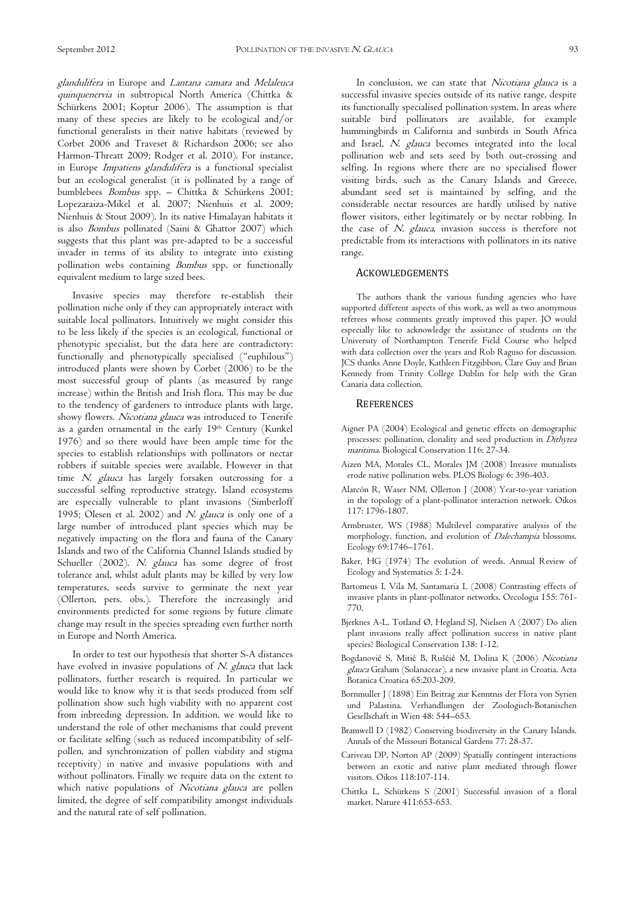glandulifera in Europe and Lantana camara and Melaleuca quinquenervia in subtropical North America (Chittka & Schürkens 2001; Koptur 2006). The assumption is that many of these species are likely to be ecological and/or functional generalists in their native habitats (reviewed by Corbet 2006 and Traveset & Richardson 2006; see also Harmon-Threatt 2009; Rodger et al. 2010). For instance, in Europe Impatiens glandulifera is a functional specialist but an ecological generalist (it is pollinated by a range of bumblebees Bombus spp. – Chittka & Schürkens 2001; Lopezaraiza-Mikel et al. 2007; Nienhuis et al. 2009; Nienhuis & Stout 2009). In its native Himalayan habitats it is also Bombus pollinated (Saini & Ghattor 2007) which suggests that this plant was pre-adapted to be a successful invader in terms of its ability to integrate into existing pollination webs containing Bombus spp. or functionally equivalent medium to large sized bees.

Invasive species may therefore re-establish their pollination niche only if they can appropriately interact with suitable local pollinators. Intuitively we might consider this to be less likely if the species is an ecological, functional or phenotypic specialist, but the data here are contradictory: functionally and phenotypically specialised ("euphilous") introduced plants were shown by Corbet (2006) to be the most successful group of plants (as measured by range increase) within the British and Irish flora. This may be due to the tendency of gardeners to introduce plants with large, showy flowers. Nicotiana glauca was introduced to Tenerife as a garden ornamental in the early 19<sup>th</sup> Century (Kunkel 1976) and so there would have been ample time for the species to establish relationships with pollinators or nectar robbers if suitable species were available. However in that time N. glauca has largely forsaken outcrossing for a successful selfing reproductive strategy. Island ecosystems are especially vulnerable to plant invasions (Simberloff 1995; Olesen et al. 2002) and N. glauca is only one of a large number of introduced plant species which may be negatively impacting on the flora and fauna of the Canary Islands and two of the California Channel Islands studied by Schueller (2002). N. glauca has some degree of frost tolerance and, whilst adult plants may be killed by very low temperatures, seeds survive to germinate the next year (Ollerton, pers. obs.). Therefore the increasingly arid environments predicted for some regions by future climate change may result in the species spreading even further north in Europe and North America.

In order to test our hypothesis that shorter S-A distances have evolved in invasive populations of N. glauca that lack pollinators, further research is required. In particular we would like to know why it is that seeds produced from self pollination show such high viability with no apparent cost from inbreeding depression. In addition, we would like to understand the role of other mechanisms that could prevent or facilitate selfing (such as reduced incompatibility of selfpollen, and synchronization of pollen viability and stigma receptivity) in native and invasive populations with and without pollinators. Finally we require data on the extent to which native populations of Nicotiana glauca are pollen limited, the degree of self compatibility amongst individuals and the natural rate of self pollination.

In conclusion, we can state that Nicotiana glauca is a successful invasive species outside of its native range, despite its functionally specialised pollination system. In areas where suitable bird pollinators are available, for example hummingbirds in California and sunbirds in South Africa and Israel, N. glauca becomes integrated into the local pollination web and sets seed by both out-crossing and selfing. In regions where there are no specialised flower visiting birds, such as the Canary Islands and Greece, abundant seed set is maintained by selfing, and the considerable nectar resources are hardly utilised by native flower visitors, either legitimately or by nectar robbing. In the case of N. glauca, invasion success is therefore not predictable from its interactions with pollinators in its native range.

### ACKOWLEDGEMENTS

The authors thank the various funding agencies who have supported different aspects of this work, as well as two anonymous referees whose comments greatly improved this paper. JO would especially like to acknowledge the assistance of students on the University of Northampton Tenerife Field Course who helped with data collection over the years and Rob Raguso for discussion. JCS thanks Anne Doyle, Kathleen Fitzgibbon, Clare Guy and Brian Kennedy from Trinity College Dublin for help with the Gran Canaria data collection.

#### **REFERENCES**

- Aigner PA (2004) Ecological and genetic effects on demographic processes: pollination, clonality and seed production in Dithyrea maritima. Biological Conservation 116: 27-34.
- Aizen MA, Morales CL, Morales JM (2008) Invasive mutualists erode native pollination webs. PLOS Biology 6: 396-403.
- Alarcón R, Waser NM, Ollerton J (2008) Year-to-year variation in the topology of a plant-pollinator interaction network. Oikos 117: 1796-1807.
- Armbruster, WS (1988) Multilevel comparative analysis of the morphology, function, and evolution of Dalechampia blossoms. Ecology 69:1746–1761.
- Baker, HG (1974) The evolution of weeds. Annual Review of Ecology and Systematics 5: 1-24.
- Bartomeus I, Vila M, Santamaria L (2008) Contrasting effects of invasive plants in plant-pollinator networks. Oecologia 155: 761- 770.
- Bjerknes A-L, Totland Ø, Hegland SJ, Nielsen A (2007) Do alien plant invasions really affect pollination success in native plant species? Biological Conservation 138: 1-12.
- Bogdanović S, Mitić B, Rušćić M, Dolina K (2006) Nicotiana glauca Graham (Solanaceae), a new invasive plant in Croatia. Acta Botanica Croatica 65:203-209.
- Bornmuller J (1898) Ein Beitrag zur Kenntnis der Flora von Syrien und Palastina. Verhandlungen der Zoologisch-Botanischen Gesellschaft in Wien 48: 544–653.
- Bramwell D (1982) Conserving biodiversity in the Canary Islands. Annals of the Missouri Botanical Gardens 77: 28-37.
- Cariveau DP, Norton AP (2009) Spatially contingent interactions between an exotic and native plant mediated through flower visitors. Oikos 118:107-114.
- Chittka L, Schürkens S (2001) Successful invasion of a floral market. Nature 411:653-653.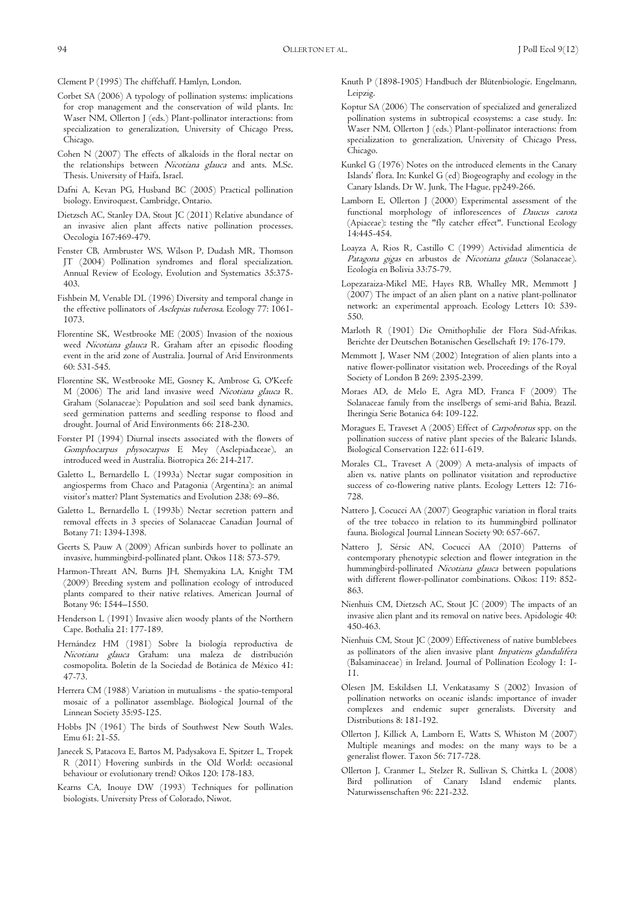Clement P (1995) The chiffchaff. Hamlyn, London.

- Corbet SA (2006) A typology of pollination systems: implications for crop management and the conservation of wild plants. In: Waser NM, Ollerton J (eds.) Plant-pollinator interactions: from specialization to generalization, University of Chicago Press, Chicago.
- Cohen N (2007) The effects of alkaloids in the floral nectar on the relationships between Nicotiana glauca and ants. M.Sc. Thesis. University of Haifa, Israel.
- Dafni A, Kevan PG, Husband BC (2005) Practical pollination biology. Enviroquest, Cambridge, Ontario.
- Dietzsch AC, Stanley DA, Stout JC (2011) Relative abundance of an invasive alien plant affects native pollination processes. Oecologia 167:469-479.
- Fenster CB, Armbruster WS, Wilson P, Dudash MR, Thomson JT (2004) Pollination syndromes and floral specialization. Annual Review of Ecology, Evolution and Systematics 35:375- 403.
- Fishbein M, Venable DL (1996) Diversity and temporal change in the effective pollinators of Asclepias tuberosa. Ecology 77: 1061- 1073.
- Florentine SK, Westbrooke ME (2005) Invasion of the noxious weed Nicotiana glauca R. Graham after an episodic flooding event in the arid zone of Australia. Journal of Arid Environments 60: 531-545.
- Florentine SK, Westbrooke ME, Gosney K, Ambrose G, O'Keefe M (2006) The arid land invasive weed Nicotiana glauca R. Graham (Solanaceae): Population and soil seed bank dynamics, seed germination patterns and seedling response to flood and drought. Journal of Arid Environments 66: 218-230.
- Forster PI (1994) Diurnal insects associated with the flowers of Gomphocarpus physocarpus E Mey (Asclepiadaceae), an introduced weed in Australia. Biotropica 26: 214-217.
- Galetto L, Bernardello L (1993a) Nectar sugar composition in angiosperms from Chaco and Patagonia (Argentina): an animal visitor's matter? Plant Systematics and Evolution 238: 69–86.
- Galetto L, Bernardello L (1993b) Nectar secretion pattern and removal effects in 3 species of Solanaceae Canadian Journal of Botany 71: 1394-1398.
- Geerts S, Pauw A (2009) African sunbirds hover to pollinate an invasive, hummingbird-pollinated plant. Oikos 118: 573-579.
- Harmon-Threatt AN, Burns JH, Shemyakina LA, Knight TM (2009) Breeding system and pollination ecology of introduced plants compared to their native relatives. American Journal of Botany 96: 1544–1550.
- Henderson L (1991) Invasive alien woody plants of the Northern Cape. Bothalia 21: 177-189.
- Hernández HM (1981) Sobre la biología reproductiva de Nicotiana glauca Graham: una maleza de distribución cosmopolita. Boletin de la Sociedad de Botánica de México 41: 47-73.
- Herrera CM (1988) Variation in mutualisms the spatio-temporal mosaic of a pollinator assemblage. Biological Journal of the Linnean Society 35:95-125.
- Hobbs JN (1961) The birds of Southwest New South Wales. Emu 61: 21-55.
- Janecek S, Patacova E, Bartos M, Padysakova E, Spitzer L, Tropek R (2011) Hovering sunbirds in the Old World: occasional behaviour or evolutionary trend? Oikos 120: 178-183.
- Kearns CA, Inouye DW (1993) Techniques for pollination biologists. University Press of Colorado, Niwot.
- Knuth P (1898-1905) Handbuch der Blütenbiologie. Engelmann, Leipzig.
- Koptur SA (2006) The conservation of specialized and generalized pollination systems in subtropical ecosystems: a case study. In: Waser NM, Ollerton J (eds.) Plant-pollinator interactions: from specialization to generalization, University of Chicago Press, Chicago.
- Kunkel G (1976) Notes on the introduced elements in the Canary Islands' flora. In: Kunkel G (ed) Biogeography and ecology in the Canary Islands. Dr W. Junk, The Hague, pp249-266.
- Lamborn E, Ollerton J (2000) Experimental assessment of the functional morphology of inflorescences of *Daucus carota* (Apiaceae): testing the "fly catcher effect". Functional Ecology 14:445-454.
- Loayza A, Rios R, Castillo C (1999) Actividad alimenticia de Patagona gigas en arbustos de Nicotiana glauca (Solanaceae). Ecología en Bolivia 33:75-79.
- Lopezaraiza-Mikel ME, Hayes RB, Whalley MR, Memmott J (2007) The impact of an alien plant on a native plant-pollinator network: an experimental approach. Ecology Letters 10: 539- 550.
- Marloth R (1901) Die Ornithophilie der Flora Süd-Afrikas. Berichte der Deutschen Botanischen Gesellschaft 19: 176-179.
- Memmott J, Waser NM (2002) Integration of alien plants into a native flower-pollinator visitation web. Proceedings of the Royal Society of London B 269: 2395-2399.
- Moraes AD, de Melo E, Agra MD, Franca F (2009) The Solanaceae family from the inselbergs of semi-arid Bahia, Brazil. Iheringia Serie Botanica 64: 109-122.
- Moragues E, Traveset A (2005) Effect of Carpobrotus spp. on the pollination success of native plant species of the Balearic Islands. Biological Conservation 122: 611-619.
- Morales CL, Traveset A (2009) A meta-analysis of impacts of alien vs. native plants on pollinator visitation and reproductive success of co-flowering native plants. Ecology Letters 12: 716- 728.
- Nattero J, Cocucci AA (2007) Geographic variation in floral traits of the tree tobacco in relation to its hummingbird pollinator fauna. Biological Journal Linnean Society 90: 657-667.
- Nattero J, Sérsic AN, Cocucci AA (2010) Patterns of contemporary phenotypic selection and flower integration in the hummingbird-pollinated Nicotiana glauca between populations with different flower-pollinator combinations. Oikos: 119: 852- 863.
- Nienhuis CM, Dietzsch AC, Stout JC (2009) The impacts of an invasive alien plant and its removal on native bees. Apidologie 40: 450-463.
- Nienhuis CM, Stout JC (2009) Effectiveness of native bumblebees as pollinators of the alien invasive plant Impatiens glandulifera (Balsaminaceae) in Ireland. Journal of Pollination Ecology 1: 1- 11.
- Olesen JM, Eskildsen LI, Venkatasamy S (2002) Invasion of pollination networks on oceanic islands: importance of invader complexes and endemic super generalists. Diversity and Distributions 8: 181-192.
- Ollerton J, Killick A, Lamborn E, Watts S, Whiston M (2007) Multiple meanings and modes: on the many ways to be a generalist flower. Taxon 56: 717-728.
- Ollerton J, Cranmer L, Stelzer R, Sullivan S, Chittka L (2008) Bird pollination of Canary Island endemic plants. Naturwissenschaften 96: 221-232.